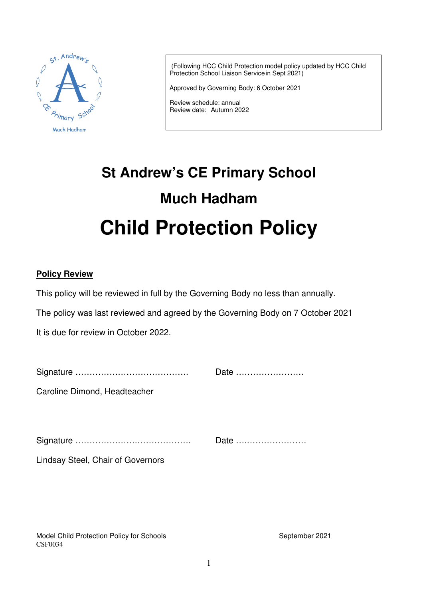

 (Following HCC Child Protection model policy updated by HCC Child Protection School Liaison Servicein Sept 2021)

Approved by Governing Body: 6 October 2021

Review schedule: annual Review date: Autumn 2022

# **St Andrew's CE Primary School Much Hadham Child Protection Policy**

#### **Policy Review**

This policy will be reviewed in full by the Governing Body no less than annually.

The policy was last reviewed and agreed by the Governing Body on 7 October 2021

It is due for review in October 2022.

|                              | Date |
|------------------------------|------|
| Caroline Dimond, Headteacher |      |
|                              |      |
|                              | Date |

Lindsay Steel, Chair of Governors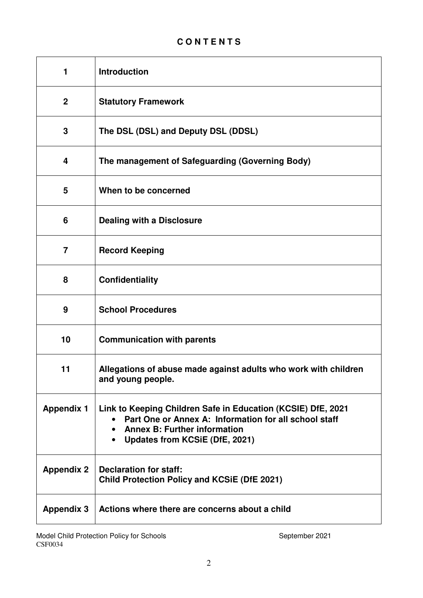## **C O N T E N T S**

| 1                 | <b>Introduction</b>                                                                                                                                                                            |
|-------------------|------------------------------------------------------------------------------------------------------------------------------------------------------------------------------------------------|
| $\boldsymbol{2}$  | <b>Statutory Framework</b>                                                                                                                                                                     |
| 3                 | The DSL (DSL) and Deputy DSL (DDSL)                                                                                                                                                            |
| 4                 | The management of Safeguarding (Governing Body)                                                                                                                                                |
| 5                 | When to be concerned                                                                                                                                                                           |
| 6                 | <b>Dealing with a Disclosure</b>                                                                                                                                                               |
| $\overline{7}$    | <b>Record Keeping</b>                                                                                                                                                                          |
| 8                 | <b>Confidentiality</b>                                                                                                                                                                         |
| 9                 | <b>School Procedures</b>                                                                                                                                                                       |
| 10                | <b>Communication with parents</b>                                                                                                                                                              |
| 11                | Allegations of abuse made against adults who work with children<br>and young people.                                                                                                           |
| <b>Appendix 1</b> | Link to Keeping Children Safe in Education (KCSIE) DfE, 2021<br>Part One or Annex A: Information for all school staff<br><b>Annex B: Further information</b><br>Updates from KCSiE (DfE, 2021) |
| <b>Appendix 2</b> | <b>Declaration for staff:</b><br><b>Child Protection Policy and KCSiE (DfE 2021)</b>                                                                                                           |
| <b>Appendix 3</b> | Actions where there are concerns about a child                                                                                                                                                 |

Model Child Protection Policy for Schools **September 2021** September 2021 CSF0034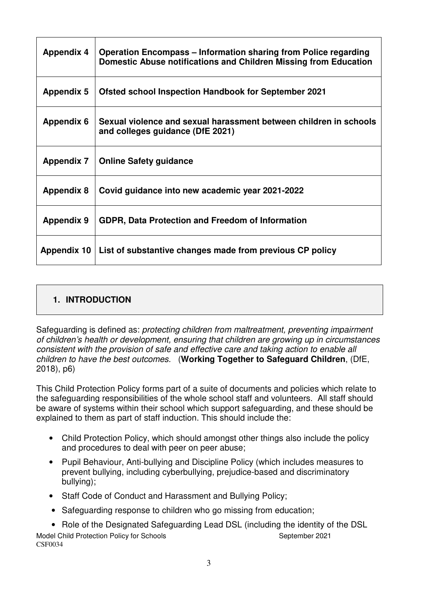| <b>Appendix 4</b> | <b>Operation Encompass – Information sharing from Police regarding</b><br>Domestic Abuse notifications and Children Missing from Education |
|-------------------|--------------------------------------------------------------------------------------------------------------------------------------------|
| <b>Appendix 5</b> | <b>Ofsted school Inspection Handbook for September 2021</b>                                                                                |
| <b>Appendix 6</b> | Sexual violence and sexual harassment between children in schools<br>and colleges guidance (DfE 2021)                                      |
| <b>Appendix 7</b> | <b>Online Safety guidance</b>                                                                                                              |
| <b>Appendix 8</b> | Covid guidance into new academic year 2021-2022                                                                                            |
| <b>Appendix 9</b> | GDPR, Data Protection and Freedom of Information                                                                                           |
| Appendix 10       | List of substantive changes made from previous CP policy                                                                                   |

## **1. INTRODUCTION**

Safeguarding is defined as: protecting children from maltreatment, preventing impairment of children's health or development, ensuring that children are growing up in circumstances consistent with the provision of safe and effective care and taking action to enable all children to have the best outcomes. (**Working Together to Safeguard Children**, (DfE, 2018), p6)

This Child Protection Policy forms part of a suite of documents and policies which relate to the safeguarding responsibilities of the whole school staff and volunteers. All staff should be aware of systems within their school which support safeguarding, and these should be explained to them as part of staff induction. This should include the:

- Child Protection Policy, which should amongst other things also include the policy and procedures to deal with peer on peer abuse;
- Pupil Behaviour, Anti-bullying and Discipline Policy (which includes measures to prevent bullying, including cyberbullying, prejudice-based and discriminatory bullying);
- Staff Code of Conduct and Harassment and Bullying Policy;
- Safeguarding response to children who go missing from education;

Model Child Protection Policy for Schools September 2021 CSF0034 • Role of the Designated Safeguarding Lead DSL (including the identity of the DSL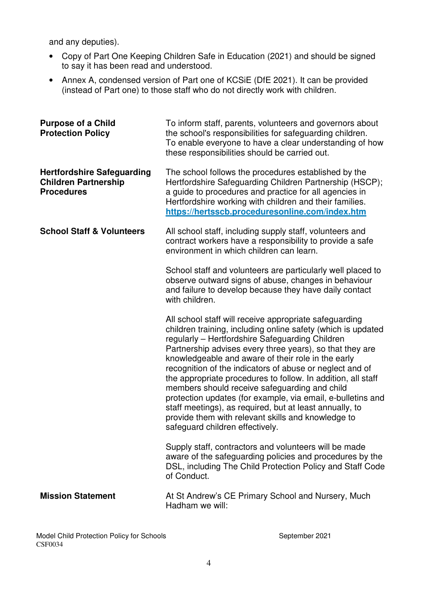and any deputies).

- Copy of Part One Keeping Children Safe in Education (2021) and should be signed to say it has been read and understood.
- Annex A, condensed version of Part one of KCSiE (DfE 2021). It can be provided (instead of Part one) to those staff who do not directly work with children.

| <b>Purpose of a Child</b><br><b>Protection Policy</b>                                 | To inform staff, parents, volunteers and governors about<br>the school's responsibilities for safeguarding children.<br>To enable everyone to have a clear understanding of how<br>these responsibilities should be carried out.                                                                                                                                                                                                                                                                                                                                                                                                                                                            |
|---------------------------------------------------------------------------------------|---------------------------------------------------------------------------------------------------------------------------------------------------------------------------------------------------------------------------------------------------------------------------------------------------------------------------------------------------------------------------------------------------------------------------------------------------------------------------------------------------------------------------------------------------------------------------------------------------------------------------------------------------------------------------------------------|
| <b>Hertfordshire Safeguarding</b><br><b>Children Partnership</b><br><b>Procedures</b> | The school follows the procedures established by the<br>Hertfordshire Safeguarding Children Partnership (HSCP);<br>a guide to procedures and practice for all agencies in<br>Hertfordshire working with children and their families.<br>https://hertsscb.proceduresonline.com/index.htm                                                                                                                                                                                                                                                                                                                                                                                                     |
| <b>School Staff &amp; Volunteers</b>                                                  | All school staff, including supply staff, volunteers and<br>contract workers have a responsibility to provide a safe<br>environment in which children can learn.                                                                                                                                                                                                                                                                                                                                                                                                                                                                                                                            |
|                                                                                       | School staff and volunteers are particularly well placed to<br>observe outward signs of abuse, changes in behaviour<br>and failure to develop because they have daily contact<br>with children.                                                                                                                                                                                                                                                                                                                                                                                                                                                                                             |
|                                                                                       | All school staff will receive appropriate safeguarding<br>children training, including online safety (which is updated<br>regularly - Hertfordshire Safeguarding Children<br>Partnership advises every three years), so that they are<br>knowledgeable and aware of their role in the early<br>recognition of the indicators of abuse or neglect and of<br>the appropriate procedures to follow. In addition, all staff<br>members should receive safeguarding and child<br>protection updates (for example, via email, e-bulletins and<br>staff meetings), as required, but at least annually, to<br>provide them with relevant skills and knowledge to<br>safeguard children effectively. |
|                                                                                       | Supply staff, contractors and volunteers will be made<br>aware of the safeguarding policies and procedures by the<br>DSL, including The Child Protection Policy and Staff Code<br>of Conduct.                                                                                                                                                                                                                                                                                                                                                                                                                                                                                               |
| <b>Mission Statement</b>                                                              | At St Andrew's CE Primary School and Nursery, Much<br>Hadham we will:                                                                                                                                                                                                                                                                                                                                                                                                                                                                                                                                                                                                                       |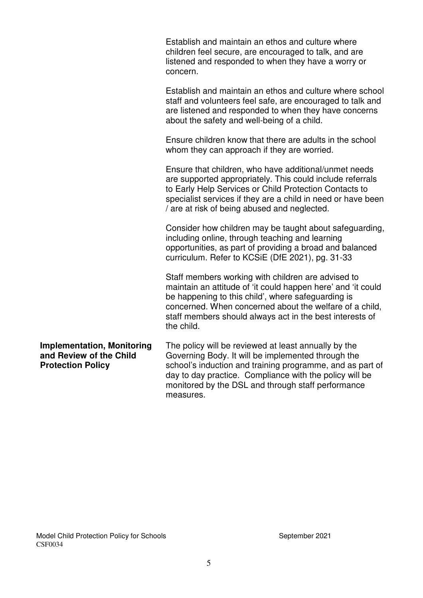|                                                                                          | Establish and maintain an ethos and culture where<br>children feel secure, are encouraged to talk, and are<br>listened and responded to when they have a worry or<br>concern.                                                                                                                                 |
|------------------------------------------------------------------------------------------|---------------------------------------------------------------------------------------------------------------------------------------------------------------------------------------------------------------------------------------------------------------------------------------------------------------|
|                                                                                          | Establish and maintain an ethos and culture where school<br>staff and volunteers feel safe, are encouraged to talk and<br>are listened and responded to when they have concerns<br>about the safety and well-being of a child.                                                                                |
|                                                                                          | Ensure children know that there are adults in the school<br>whom they can approach if they are worried.                                                                                                                                                                                                       |
|                                                                                          | Ensure that children, who have additional/unmet needs<br>are supported appropriately. This could include referrals<br>to Early Help Services or Child Protection Contacts to<br>specialist services if they are a child in need or have been<br>/ are at risk of being abused and neglected.                  |
|                                                                                          | Consider how children may be taught about safeguarding,<br>including online, through teaching and learning<br>opportunities, as part of providing a broad and balanced<br>curriculum. Refer to KCSiE (DfE 2021), pg. 31-33                                                                                    |
|                                                                                          | Staff members working with children are advised to<br>maintain an attitude of 'it could happen here' and 'it could<br>be happening to this child', where safeguarding is<br>concerned. When concerned about the welfare of a child,<br>staff members should always act in the best interests of<br>the child. |
| <b>Implementation, Monitoring</b><br>and Review of the Child<br><b>Protection Policy</b> | The policy will be reviewed at least annually by the<br>Governing Body. It will be implemented through the<br>school's induction and training programme, and as part of<br>day to day practice. Compliance with the policy will be<br>monitored by the DSL and through staff performance                      |

measures.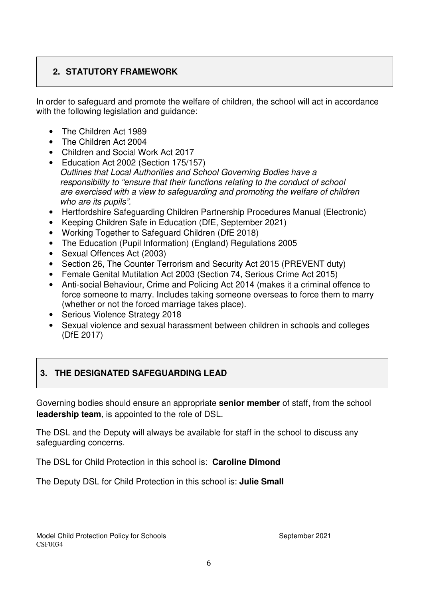## **2. STATUTORY FRAMEWORK**

In order to safeguard and promote the welfare of children, the school will act in accordance with the following legislation and guidance:

- The Children Act 1989
- The Children Act 2004
- Children and Social Work Act 2017
- Education Act 2002 (Section 175/157) Outlines that Local Authorities and School Governing Bodies have a responsibility to "ensure that their functions relating to the conduct of school are exercised with a view to safeguarding and promoting the welfare of children who are its pupils".
- Hertfordshire Safeguarding Children Partnership Procedures Manual (Electronic)
- Keeping Children Safe in Education (DfE, September 2021)
- Working Together to Safeguard Children (DfE 2018)
- The Education (Pupil Information) (England) Regulations 2005
- Sexual Offences Act (2003)
- Section 26, The Counter Terrorism and Security Act 2015 (PREVENT duty)
- Female Genital Mutilation Act 2003 (Section 74, Serious Crime Act 2015)
- Anti-social Behaviour, Crime and Policing Act 2014 (makes it a criminal offence to force someone to marry. Includes taking someone overseas to force them to marry (whether or not the forced marriage takes place).
- Serious Violence Strategy 2018
- Sexual violence and sexual harassment between children in schools and colleges (DfE 2017)

## **3. THE DESIGNATED SAFEGUARDING LEAD**

Governing bodies should ensure an appropriate **senior member** of staff, from the school **leadership team**, is appointed to the role of DSL.

The DSL and the Deputy will always be available for staff in the school to discuss any safeguarding concerns.

The DSL for Child Protection in this school is: **Caroline Dimond**

The Deputy DSL for Child Protection in this school is: **Julie Small**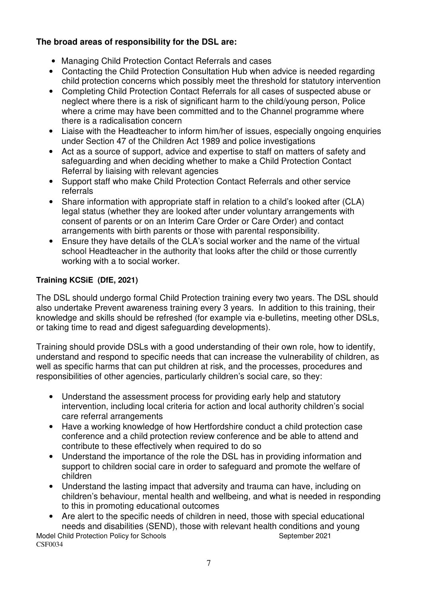## **The broad areas of responsibility for the DSL are:**

- Managing Child Protection Contact Referrals and cases
- Contacting the Child Protection Consultation Hub when advice is needed regarding child protection concerns which possibly meet the threshold for statutory intervention
- Completing Child Protection Contact Referrals for all cases of suspected abuse or neglect where there is a risk of significant harm to the child/young person, Police where a crime may have been committed and to the Channel programme where there is a radicalisation concern
- Liaise with the Headteacher to inform him/her of issues, especially ongoing enquiries under Section 47 of the Children Act 1989 and police investigations
- Act as a source of support, advice and expertise to staff on matters of safety and safeguarding and when deciding whether to make a Child Protection Contact Referral by liaising with relevant agencies
- Support staff who make Child Protection Contact Referrals and other service referrals
- Share information with appropriate staff in relation to a child's looked after (CLA) legal status (whether they are looked after under voluntary arrangements with consent of parents or on an Interim Care Order or Care Order) and contact arrangements with birth parents or those with parental responsibility.
- Ensure they have details of the CLA's social worker and the name of the virtual school Headteacher in the authority that looks after the child or those currently working with a to social worker.

## **Training KCSiE (DfE, 2021)**

The DSL should undergo formal Child Protection training every two years. The DSL should also undertake Prevent awareness training every 3 years. In addition to this training, their knowledge and skills should be refreshed (for example via e-bulletins, meeting other DSLs, or taking time to read and digest safeguarding developments).

Training should provide DSLs with a good understanding of their own role, how to identify, understand and respond to specific needs that can increase the vulnerability of children, as well as specific harms that can put children at risk, and the processes, procedures and responsibilities of other agencies, particularly children's social care, so they:

- Understand the assessment process for providing early help and statutory intervention, including local criteria for action and local authority children's social care referral arrangements
- Have a working knowledge of how Hertfordshire conduct a child protection case conference and a child protection review conference and be able to attend and contribute to these effectively when required to do so
- Understand the importance of the role the DSL has in providing information and support to children social care in order to safeguard and promote the welfare of children
- Understand the lasting impact that adversity and trauma can have, including on children's behaviour, mental health and wellbeing, and what is needed in responding to this in promoting educational outcomes
- Are alert to the specific needs of children in need, those with special educational needs and disabilities (SEND), those with relevant health conditions and young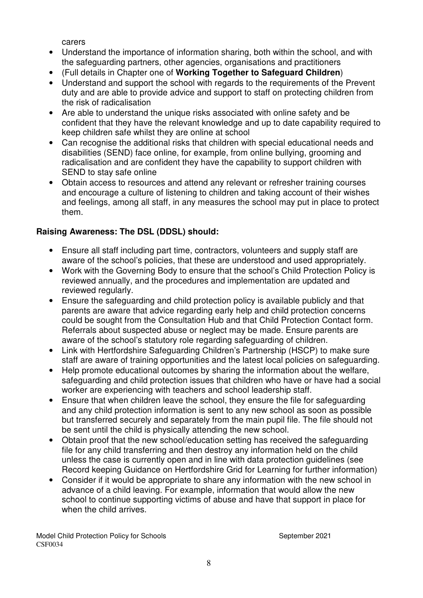carers

- Understand the importance of information sharing, both within the school, and with the safeguarding partners, other agencies, organisations and practitioners
- (Full details in Chapter one of **Working Together to Safeguard Children**)
- Understand and support the school with regards to the requirements of the Prevent duty and are able to provide advice and support to staff on protecting children from the risk of radicalisation
- Are able to understand the unique risks associated with online safety and be confident that they have the relevant knowledge and up to date capability required to keep children safe whilst they are online at school
- Can recognise the additional risks that children with special educational needs and disabilities (SEND) face online, for example, from online bullying, grooming and radicalisation and are confident they have the capability to support children with SEND to stay safe online
- Obtain access to resources and attend any relevant or refresher training courses and encourage a culture of listening to children and taking account of their wishes and feelings, among all staff, in any measures the school may put in place to protect them.

## **Raising Awareness: The DSL (DDSL) should:**

- Ensure all staff including part time, contractors, volunteers and supply staff are aware of the school's policies, that these are understood and used appropriately.
- Work with the Governing Body to ensure that the school's Child Protection Policy is reviewed annually, and the procedures and implementation are updated and reviewed regularly.
- Ensure the safeguarding and child protection policy is available publicly and that parents are aware that advice regarding early help and child protection concerns could be sought from the Consultation Hub and that Child Protection Contact form. Referrals about suspected abuse or neglect may be made. Ensure parents are aware of the school's statutory role regarding safeguarding of children.
- Link with Hertfordshire Safeguarding Children's Partnership (HSCP) to make sure staff are aware of training opportunities and the latest local policies on safeguarding.
- Help promote educational outcomes by sharing the information about the welfare, safeguarding and child protection issues that children who have or have had a social worker are experiencing with teachers and school leadership staff.
- Ensure that when children leave the school, they ensure the file for safeguarding and any child protection information is sent to any new school as soon as possible but transferred securely and separately from the main pupil file. The file should not be sent until the child is physically attending the new school.
- Obtain proof that the new school/education setting has received the safeguarding file for any child transferring and then destroy any information held on the child unless the case is currently open and in line with data protection guidelines (see Record keeping Guidance on Hertfordshire Grid for Learning for further information)
- Consider if it would be appropriate to share any information with the new school in advance of a child leaving. For example, information that would allow the new school to continue supporting victims of abuse and have that support in place for when the child arrives.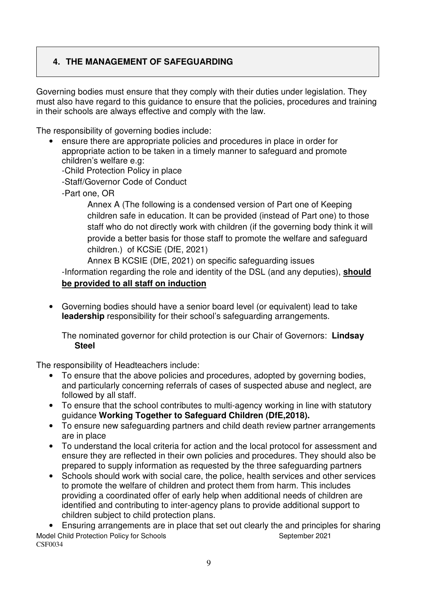## **4. THE MANAGEMENT OF SAFEGUARDING**

Governing bodies must ensure that they comply with their duties under legislation. They must also have regard to this guidance to ensure that the policies, procedures and training in their schools are always effective and comply with the law.

The responsibility of governing bodies include:

- ensure there are appropriate policies and procedures in place in order for appropriate action to be taken in a timely manner to safeguard and promote children's welfare e.g:
	- -Child Protection Policy in place
	- -Staff/Governor Code of Conduct
	- -Part one, OR

Annex A (The following is a condensed version of Part one of Keeping children safe in education. It can be provided (instead of Part one) to those staff who do not directly work with children (if the governing body think it will provide a better basis for those staff to promote the welfare and safeguard children.) of KCSiE (DfE, 2021)

Annex B KCSIE (DfE, 2021) on specific safeguarding issues

-Information regarding the role and identity of the DSL (and any deputies), **should be provided to all staff on induction** 

• Governing bodies should have a senior board level (or equivalent) lead to take **leadership** responsibility for their school's safeguarding arrangements.

The nominated governor for child protection is our Chair of Governors: **Lindsay Steel** 

The responsibility of Headteachers include:

- To ensure that the above policies and procedures, adopted by governing bodies, and particularly concerning referrals of cases of suspected abuse and neglect, are followed by all staff.
- To ensure that the school contributes to multi-agency working in line with statutory guidance **Working Together to Safeguard Children (DfE,2018).**
- To ensure new safeguarding partners and child death review partner arrangements are in place
- To understand the local criteria for action and the local protocol for assessment and ensure they are reflected in their own policies and procedures. They should also be prepared to supply information as requested by the three safeguarding partners
- Schools should work with social care, the police, health services and other services to promote the welfare of children and protect them from harm. This includes providing a coordinated offer of early help when additional needs of children are identified and contributing to inter-agency plans to provide additional support to children subject to child protection plans.

Model Child Protection Policy for Schools Model Child September 2021 CSF0034 • Ensuring arrangements are in place that set out clearly the and principles for sharing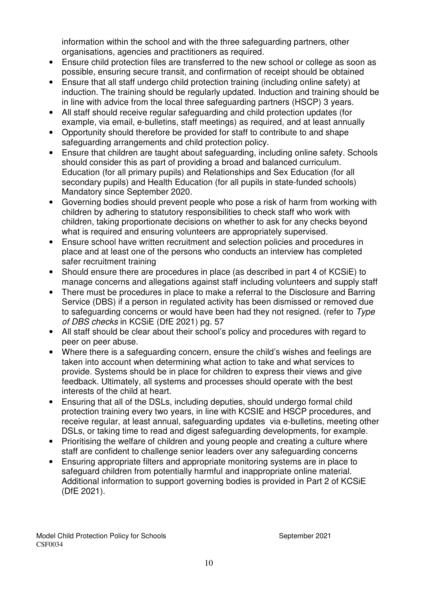information within the school and with the three safeguarding partners, other organisations, agencies and practitioners as required.

- Ensure child protection files are transferred to the new school or college as soon as possible, ensuring secure transit, and confirmation of receipt should be obtained
- Ensure that all staff undergo child protection training (including online safety) at induction. The training should be regularly updated. Induction and training should be in line with advice from the local three safeguarding partners (HSCP) 3 years.
- All staff should receive regular safeguarding and child protection updates (for example, via email, e-bulletins, staff meetings) as required, and at least annually
- Opportunity should therefore be provided for staff to contribute to and shape safeguarding arrangements and child protection policy.
- Ensure that children are taught about safeguarding, including online safety. Schools should consider this as part of providing a broad and balanced curriculum. Education (for all primary pupils) and Relationships and Sex Education (for all secondary pupils) and Health Education (for all pupils in state-funded schools) Mandatory since September 2020.
- Governing bodies should prevent people who pose a risk of harm from working with children by adhering to statutory responsibilities to check staff who work with children, taking proportionate decisions on whether to ask for any checks beyond what is required and ensuring volunteers are appropriately supervised.
- Ensure school have written recruitment and selection policies and procedures in place and at least one of the persons who conducts an interview has completed safer recruitment training
- Should ensure there are procedures in place (as described in part 4 of KCSiE) to manage concerns and allegations against staff including volunteers and supply staff
- There must be procedures in place to make a referral to the Disclosure and Barring Service (DBS) if a person in regulated activity has been dismissed or removed due to safeguarding concerns or would have been had they not resigned. (refer to Type of DBS checks in KCSiE (DfE 2021) pg. 57
- All staff should be clear about their school's policy and procedures with regard to peer on peer abuse.
- Where there is a safeguarding concern, ensure the child's wishes and feelings are taken into account when determining what action to take and what services to provide. Systems should be in place for children to express their views and give feedback. Ultimately, all systems and processes should operate with the best interests of the child at heart.
- Ensuring that all of the DSLs, including deputies, should undergo formal child protection training every two years, in line with KCSIE and HSCP procedures, and receive regular, at least annual, safeguarding updates via e-bulletins, meeting other DSLs, or taking time to read and digest safeguarding developments, for example.
- Prioritising the welfare of children and young people and creating a culture where staff are confident to challenge senior leaders over any safeguarding concerns
- Ensuring appropriate filters and appropriate monitoring systems are in place to safeguard children from potentially harmful and inappropriate online material. Additional information to support governing bodies is provided in Part 2 of KCSiE (DfE 2021).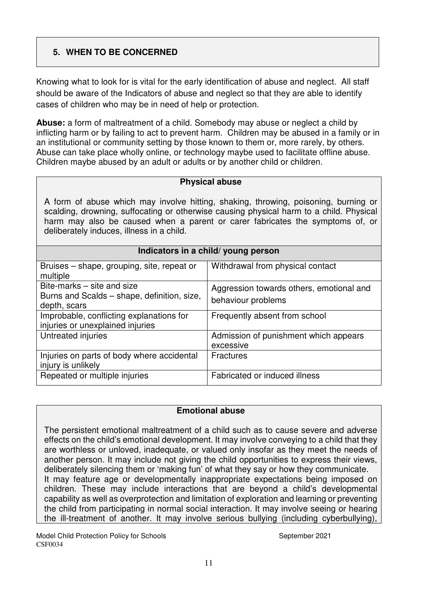## **5. WHEN TO BE CONCERNED**

Knowing what to look for is vital for the early identification of abuse and neglect. All staff should be aware of the Indicators of abuse and neglect so that they are able to identify cases of children who may be in need of help or protection.

**Abuse:** a form of maltreatment of a child. Somebody may abuse or neglect a child by inflicting harm or by failing to act to prevent harm. Children may be abused in a family or in an institutional or community setting by those known to them or, more rarely, by others. Abuse can take place wholly online, or technology maybe used to facilitate offline abuse. Children maybe abused by an adult or adults or by another child or children.

#### **Physical abuse**

A form of abuse which may involve hitting, shaking, throwing, poisoning, burning or scalding, drowning, suffocating or otherwise causing physical harm to a child. Physical harm may also be caused when a parent or carer fabricates the symptoms of, or deliberately induces, illness in a child.

# **Indicators in a child/ young person**

| Bruises – shape, grouping, site, repeat or  | Withdrawal from physical contact         |
|---------------------------------------------|------------------------------------------|
| multiple                                    |                                          |
| Bite-marks – site and size                  | Aggression towards others, emotional and |
| Burns and Scalds – shape, definition, size, | behaviour problems                       |
| depth, scars                                |                                          |
| Improbable, conflicting explanations for    | Frequently absent from school            |
| injuries or unexplained injuries            |                                          |
| Untreated injuries                          | Admission of punishment which appears    |
|                                             | excessive                                |
| Injuries on parts of body where accidental  | <b>Fractures</b>                         |
| injury is unlikely                          |                                          |
| Repeated or multiple injuries               | Fabricated or induced illness            |
|                                             |                                          |

#### **Emotional abuse**

The persistent emotional maltreatment of a child such as to cause severe and adverse effects on the child's emotional development. It may involve conveying to a child that they are worthless or unloved, inadequate, or valued only insofar as they meet the needs of another person. It may include not giving the child opportunities to express their views, deliberately silencing them or 'making fun' of what they say or how they communicate. It may feature age or developmentally inappropriate expectations being imposed on children. These may include interactions that are beyond a child's developmental capability as well as overprotection and limitation of exploration and learning or preventing the child from participating in normal social interaction. It may involve seeing or hearing the ill-treatment of another. It may involve serious bullying (including cyberbullying),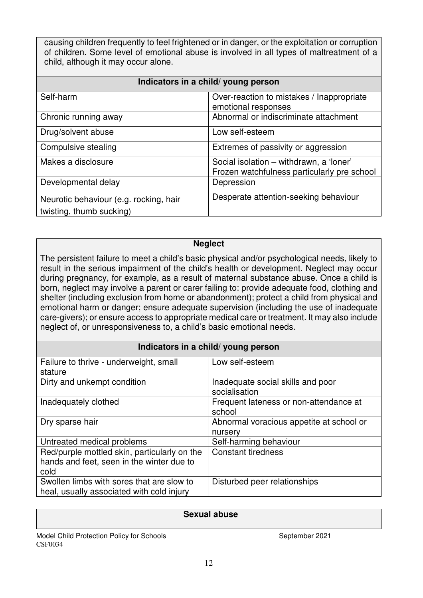causing children frequently to feel frightened or in danger, or the exploitation or corruption of children. Some level of emotional abuse is involved in all types of maltreatment of a child, although it may occur alone.

| Indicators in a child/ young person                                |                                                                                        |  |
|--------------------------------------------------------------------|----------------------------------------------------------------------------------------|--|
| Self-harm                                                          | Over-reaction to mistakes / Inappropriate<br>emotional responses                       |  |
| Chronic running away                                               | Abnormal or indiscriminate attachment                                                  |  |
| Drug/solvent abuse                                                 | Low self-esteem                                                                        |  |
| Compulsive stealing                                                | Extremes of passivity or aggression                                                    |  |
| Makes a disclosure                                                 | Social isolation - withdrawn, a 'loner'<br>Frozen watchfulness particularly pre school |  |
| Developmental delay                                                | Depression                                                                             |  |
| Neurotic behaviour (e.g. rocking, hair<br>twisting, thumb sucking) | Desperate attention-seeking behaviour                                                  |  |

#### **Neglect**

The persistent failure to meet a child's basic physical and/or psychological needs, likely to result in the serious impairment of the child's health or development. Neglect may occur during pregnancy, for example, as a result of maternal substance abuse. Once a child is born, neglect may involve a parent or carer failing to: provide adequate food, clothing and shelter (including exclusion from home or abandonment); protect a child from physical and emotional harm or danger; ensure adequate supervision (including the use of inadequate care-givers); or ensure access to appropriate medical care or treatment. It may also include neglect of, or unresponsiveness to, a child's basic emotional needs.

#### **Indicators in a child/ young person**

| Failure to thrive - underweight, small       | Low self-esteem                          |
|----------------------------------------------|------------------------------------------|
| stature                                      |                                          |
|                                              |                                          |
| Dirty and unkempt condition                  | Inadequate social skills and poor        |
|                                              | socialisation                            |
| Inadequately clothed                         | Frequent lateness or non-attendance at   |
|                                              | school                                   |
| Dry sparse hair                              | Abnormal voracious appetite at school or |
|                                              | nursery                                  |
| Untreated medical problems                   | Self-harming behaviour                   |
| Red/purple mottled skin, particularly on the | <b>Constant tiredness</b>                |
| hands and feet, seen in the winter due to    |                                          |
| cold                                         |                                          |
| Swollen limbs with sores that are slow to    | Disturbed peer relationships             |
| heal, usually associated with cold injury    |                                          |

#### **Sexual abuse**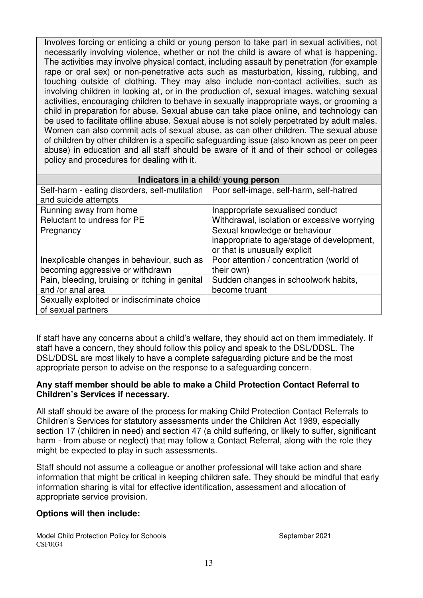Involves forcing or enticing a child or young person to take part in sexual activities, not necessarily involving violence, whether or not the child is aware of what is happening. The activities may involve physical contact, including assault by penetration (for example rape or oral sex) or non-penetrative acts such as masturbation, kissing, rubbing, and touching outside of clothing. They may also include non-contact activities, such as involving children in looking at, or in the production of, sexual images, watching sexual activities, encouraging children to behave in sexually inappropriate ways, or grooming a child in preparation for abuse. Sexual abuse can take place online, and technology can be used to facilitate offline abuse. Sexual abuse is not solely perpetrated by adult males. Women can also commit acts of sexual abuse, as can other children. The sexual abuse of children by other children is a specific safeguarding issue (also known as peer on peer abuse) in education and all staff should be aware of it and of their school or colleges policy and procedures for dealing with it.

|                                                                                         | Indicators in a child/ young person         |
|-----------------------------------------------------------------------------------------|---------------------------------------------|
| Self-harm - eating disorders, self-mutilation   Poor self-image, self-harm, self-hatred |                                             |
| and suicide attempts                                                                    |                                             |
| Running away from home                                                                  | Inappropriate sexualised conduct            |
| Reluctant to undress for PE                                                             | Withdrawal, isolation or excessive worrying |
| Pregnancy                                                                               | Sexual knowledge or behaviour               |
|                                                                                         | inappropriate to age/stage of development,  |
|                                                                                         | or that is unusually explicit               |
| Inexplicable changes in behaviour, such as                                              | Poor attention / concentration (world of    |
| becoming aggressive or withdrawn                                                        | their own)                                  |
| Pain, bleeding, bruising or itching in genital                                          | Sudden changes in schoolwork habits,        |
| and /or anal area                                                                       | become truant                               |
| Sexually exploited or indiscriminate choice                                             |                                             |
| of sexual partners                                                                      |                                             |

If staff have any concerns about a child's welfare, they should act on them immediately. If staff have a concern, they should follow this policy and speak to the DSL/DDSL. The DSL/DDSL are most likely to have a complete safeguarding picture and be the most appropriate person to advise on the response to a safeguarding concern.

#### **Any staff member should be able to make a Child Protection Contact Referral to Children's Services if necessary.**

All staff should be aware of the process for making Child Protection Contact Referrals to Children's Services for statutory assessments under the Children Act 1989, especially section 17 (children in need) and section 47 (a child suffering, or likely to suffer, significant harm - from abuse or neglect) that may follow a Contact Referral, along with the role they might be expected to play in such assessments.

Staff should not assume a colleague or another professional will take action and share information that might be critical in keeping children safe. They should be mindful that early information sharing is vital for effective identification, assessment and allocation of appropriate service provision.

#### **Options will then include:**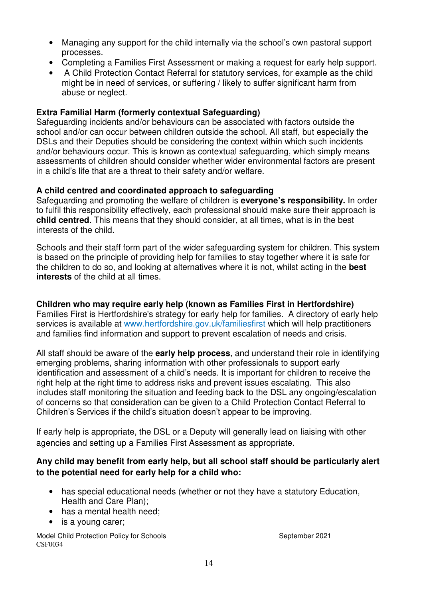- Managing any support for the child internally via the school's own pastoral support processes.
- Completing a Families First Assessment or making a request for early help support.
- A Child Protection Contact Referral for statutory services, for example as the child might be in need of services, or suffering / likely to suffer significant harm from abuse or neglect.

#### **Extra Familial Harm (formerly contextual Safeguarding)**

Safeguarding incidents and/or behaviours can be associated with factors outside the school and/or can occur between children outside the school. All staff, but especially the DSLs and their Deputies should be considering the context within which such incidents and/or behaviours occur. This is known as contextual safeguarding, which simply means assessments of children should consider whether wider environmental factors are present in a child's life that are a threat to their safety and/or welfare.

#### **A child centred and coordinated approach to safeguarding**

Safeguarding and promoting the welfare of children is **everyone's responsibility.** In order to fulfil this responsibility effectively, each professional should make sure their approach is **child centred**. This means that they should consider, at all times, what is in the best interests of the child.

Schools and their staff form part of the wider safeguarding system for children. This system is based on the principle of providing help for families to stay together where it is safe for the children to do so, and looking at alternatives where it is not, whilst acting in the **best interests** of the child at all times.

#### **Children who may require early help (known as Families First in Hertfordshire)**

Families First is Hertfordshire's strategy for early help for families. A directory of early help services is available at www.hertfordshire.gov.uk/familiesfirst which will help practitioners and families find information and support to prevent escalation of needs and crisis.

All staff should be aware of the **early help process**, and understand their role in identifying emerging problems, sharing information with other professionals to support early identification and assessment of a child's needs. It is important for children to receive the right help at the right time to address risks and prevent issues escalating. This also includes staff monitoring the situation and feeding back to the DSL any ongoing/escalation of concerns so that consideration can be given to a Child Protection Contact Referral to Children's Services if the child's situation doesn't appear to be improving.

If early help is appropriate, the DSL or a Deputy will generally lead on liaising with other agencies and setting up a Families First Assessment as appropriate.

#### **Any child may benefit from early help, but all school staff should be particularly alert to the potential need for early help for a child who:**

- has special educational needs (whether or not they have a statutory Education, Health and Care Plan);
- has a mental health need:
- is a young carer;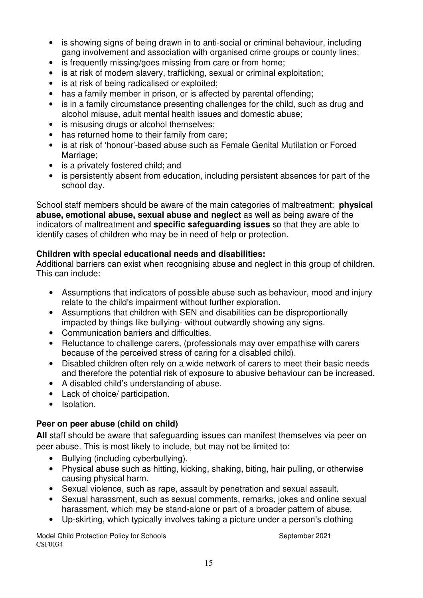- is showing signs of being drawn in to anti-social or criminal behaviour, including gang involvement and association with organised crime groups or county lines;
- is frequently missing/goes missing from care or from home;
- is at risk of modern slavery, trafficking, sexual or criminal exploitation;
- is at risk of being radicalised or exploited:
- has a family member in prison, or is affected by parental offending;
- is in a family circumstance presenting challenges for the child, such as drug and alcohol misuse, adult mental health issues and domestic abuse;
- is misusing drugs or alcohol themselves;
- has returned home to their family from care;
- is at risk of 'honour'-based abuse such as Female Genital Mutilation or Forced Marriage:
- is a privately fostered child; and
- is persistently absent from education, including persistent absences for part of the school day.

School staff members should be aware of the main categories of maltreatment: **physical abuse, emotional abuse, sexual abuse and neglect** as well as being aware of the indicators of maltreatment and **specific safeguarding issues** so that they are able to identify cases of children who may be in need of help or protection.

#### **Children with special educational needs and disabilities:**

Additional barriers can exist when recognising abuse and neglect in this group of children. This can include:

- Assumptions that indicators of possible abuse such as behaviour, mood and injury relate to the child's impairment without further exploration.
- Assumptions that children with SEN and disabilities can be disproportionally impacted by things like bullying- without outwardly showing any signs.
- Communication barriers and difficulties.
- Reluctance to challenge carers, (professionals may over empathise with carers because of the perceived stress of caring for a disabled child).
- Disabled children often rely on a wide network of carers to meet their basic needs and therefore the potential risk of exposure to abusive behaviour can be increased.
- A disabled child's understanding of abuse.
- Lack of choice/ participation.
- Isolation.

## **Peer on peer abuse (child on child)**

**All** staff should be aware that safeguarding issues can manifest themselves via peer on peer abuse. This is most likely to include, but may not be limited to:

- Bullying (including cyberbullying).
- Physical abuse such as hitting, kicking, shaking, biting, hair pulling, or otherwise causing physical harm.
- Sexual violence, such as rape, assault by penetration and sexual assault.
- Sexual harassment, such as sexual comments, remarks, jokes and online sexual harassment, which may be stand-alone or part of a broader pattern of abuse.
- Up-skirting, which typically involves taking a picture under a person's clothing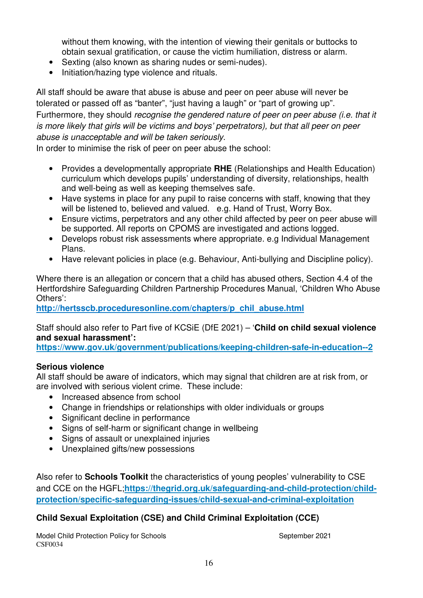without them knowing, with the intention of viewing their genitals or buttocks to obtain sexual gratification, or cause the victim humiliation, distress or alarm.

- Sexting (also known as sharing nudes or semi-nudes).
- Initiation/hazing type violence and rituals.

All staff should be aware that abuse is abuse and peer on peer abuse will never be tolerated or passed off as "banter", "just having a laugh" or "part of growing up". Furthermore, they should recognise the gendered nature of peer on peer abuse (i.e. that it is more likely that girls will be victims and boys' perpetrators), but that all peer on peer abuse is unacceptable and will be taken seriously.

In order to minimise the risk of peer on peer abuse the school:

- Provides a developmentally appropriate **RHE** (Relationships and Health Education) curriculum which develops pupils' understanding of diversity, relationships, health and well-being as well as keeping themselves safe.
- Have systems in place for any pupil to raise concerns with staff, knowing that they will be listened to, believed and valued. e.g. Hand of Trust, Worry Box.
- Ensure victims, perpetrators and any other child affected by peer on peer abuse will be supported. All reports on CPOMS are investigated and actions logged.
- Develops robust risk assessments where appropriate, e.g Individual Management Plans.
- Have relevant policies in place (e.g. Behaviour, Anti-bullying and Discipline policy).

Where there is an allegation or concern that a child has abused others, Section 4.4 of the Hertfordshire Safeguarding Children Partnership Procedures Manual, 'Children Who Abuse Others':

**http://hertsscb.proceduresonline.com/chapters/p\_chil\_abuse.html** 

Staff should also refer to Part five of KCSiE (DfE 2021) – '**Child on child sexual violence and sexual harassment':**

**https://www.gov.uk/government/publications/keeping-children-safe-in-education--2**

#### **Serious violence**

All staff should be aware of indicators, which may signal that children are at risk from, or are involved with serious violent crime. These include:

- Increased absence from school
- Change in friendships or relationships with older individuals or groups
- Significant decline in performance
- Signs of self-harm or significant change in wellbeing
- Signs of assault or unexplained injuries
- Unexplained gifts/new possessions

Also refer to **Schools Toolkit** the characteristics of young peoples' vulnerability to CSE and CCE on the HGFL;**https://thegrid.org.uk/safeguarding-and-child-protection/childprotection/specific-safeguarding-issues/child-sexual-and-criminal-exploitation**

## **Child Sexual Exploitation (CSE) and Child Criminal Exploitation (CCE)**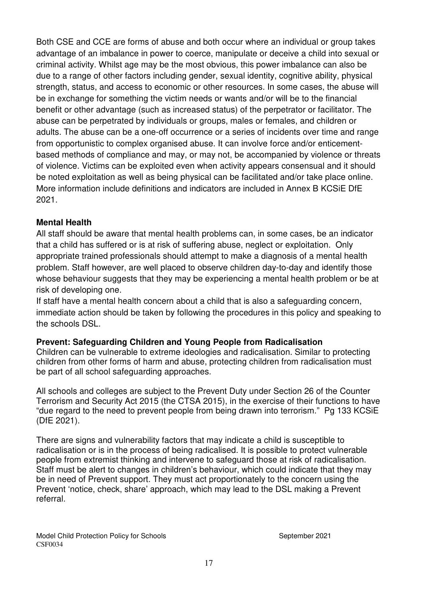Both CSE and CCE are forms of abuse and both occur where an individual or group takes advantage of an imbalance in power to coerce, manipulate or deceive a child into sexual or criminal activity. Whilst age may be the most obvious, this power imbalance can also be due to a range of other factors including gender, sexual identity, cognitive ability, physical strength, status, and access to economic or other resources. In some cases, the abuse will be in exchange for something the victim needs or wants and/or will be to the financial benefit or other advantage (such as increased status) of the perpetrator or facilitator. The abuse can be perpetrated by individuals or groups, males or females, and children or adults. The abuse can be a one-off occurrence or a series of incidents over time and range from opportunistic to complex organised abuse. It can involve force and/or enticementbased methods of compliance and may, or may not, be accompanied by violence or threats of violence. Victims can be exploited even when activity appears consensual and it should be noted exploitation as well as being physical can be facilitated and/or take place online. More information include definitions and indicators are included in Annex B KCSiE DfE 2021.

#### **Mental Health**

All staff should be aware that mental health problems can, in some cases, be an indicator that a child has suffered or is at risk of suffering abuse, neglect or exploitation. Only appropriate trained professionals should attempt to make a diagnosis of a mental health problem. Staff however, are well placed to observe children day-to-day and identify those whose behaviour suggests that they may be experiencing a mental health problem or be at risk of developing one.

If staff have a mental health concern about a child that is also a safeguarding concern, immediate action should be taken by following the procedures in this policy and speaking to the schools DSL.

#### **Prevent: Safeguarding Children and Young People from Radicalisation**

Children can be vulnerable to extreme ideologies and radicalisation. Similar to protecting children from other forms of harm and abuse, protecting children from radicalisation must be part of all school safeguarding approaches.

All schools and colleges are subject to the Prevent Duty under Section 26 of the Counter Terrorism and Security Act 2015 (the CTSA 2015), in the exercise of their functions to have "due regard to the need to prevent people from being drawn into terrorism." Pg 133 KCSiE (DfE 2021).

There are signs and vulnerability factors that may indicate a child is susceptible to radicalisation or is in the process of being radicalised. It is possible to protect vulnerable people from extremist thinking and intervene to safeguard those at risk of radicalisation. Staff must be alert to changes in children's behaviour, which could indicate that they may be in need of Prevent support. They must act proportionately to the concern using the Prevent 'notice, check, share' approach, which may lead to the DSL making a Prevent referral.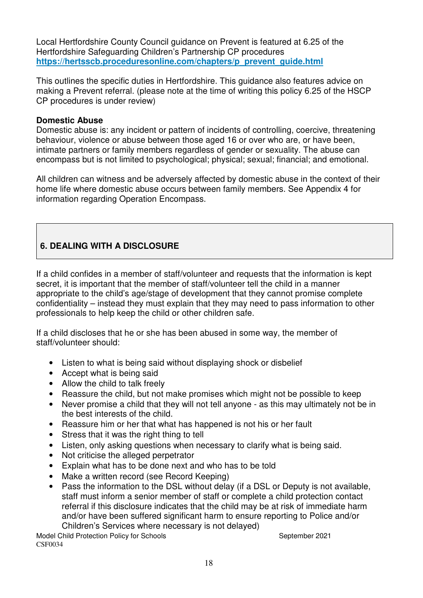Local Hertfordshire County Council guidance on Prevent is featured at 6.25 of the Hertfordshire Safeguarding Children's Partnership CP procedures **https://hertsscb.proceduresonline.com/chapters/p\_prevent\_guide.html**

This outlines the specific duties in Hertfordshire. This guidance also features advice on making a Prevent referral. (please note at the time of writing this policy 6.25 of the HSCP CP procedures is under review)

#### **Domestic Abuse**

Domestic abuse is: any incident or pattern of incidents of controlling, coercive, threatening behaviour, violence or abuse between those aged 16 or over who are, or have been, intimate partners or family members regardless of gender or sexuality. The abuse can encompass but is not limited to psychological; physical; sexual; financial; and emotional.

All children can witness and be adversely affected by domestic abuse in the context of their home life where domestic abuse occurs between family members. See Appendix 4 for information regarding Operation Encompass.

## **6. DEALING WITH A DISCLOSURE**

If a child confides in a member of staff/volunteer and requests that the information is kept secret, it is important that the member of staff/volunteer tell the child in a manner appropriate to the child's age/stage of development that they cannot promise complete confidentiality – instead they must explain that they may need to pass information to other professionals to help keep the child or other children safe.

If a child discloses that he or she has been abused in some way, the member of staff/volunteer should:

- Listen to what is being said without displaying shock or disbelief
- Accept what is being said
- Allow the child to talk freely
- Reassure the child, but not make promises which might not be possible to keep
- Never promise a child that they will not tell anyone as this may ultimately not be in the best interests of the child.
- Reassure him or her that what has happened is not his or her fault
- Stress that it was the right thing to tell
- Listen, only asking questions when necessary to clarify what is being said.
- Not criticise the alleged perpetrator
- Explain what has to be done next and who has to be told
- Make a written record (see Record Keeping)
- Pass the information to the DSL without delay (if a DSL or Deputy is not available, staff must inform a senior member of staff or complete a child protection contact referral if this disclosure indicates that the child may be at risk of immediate harm and/or have been suffered significant harm to ensure reporting to Police and/or Children's Services where necessary is not delayed)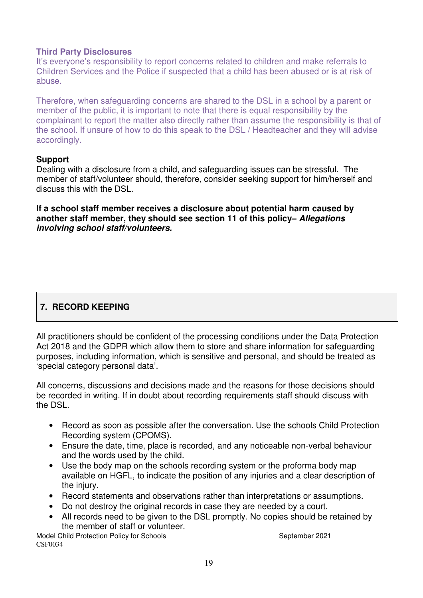#### **Third Party Disclosures**

It's everyone's responsibility to report concerns related to children and make referrals to Children Services and the Police if suspected that a child has been abused or is at risk of abuse.

Therefore, when safeguarding concerns are shared to the DSL in a school by a parent or member of the public, it is important to note that there is equal responsibility by the complainant to report the matter also directly rather than assume the responsibility is that of the school. If unsure of how to do this speak to the DSL / Headteacher and they will advise accordingly.

#### **Support**

Dealing with a disclosure from a child, and safeguarding issues can be stressful. The member of staff/volunteer should, therefore, consider seeking support for him/herself and discuss this with the DSL.

**If a school staff member receives a disclosure about potential harm caused by another staff member, they should see section 11 of this policy–** *Allegations involving school staff/volunteers.* 

## **7. RECORD KEEPING**

All practitioners should be confident of the processing conditions under the Data Protection Act 2018 and the GDPR which allow them to store and share information for safeguarding purposes, including information, which is sensitive and personal, and should be treated as 'special category personal data'.

All concerns, discussions and decisions made and the reasons for those decisions should be recorded in writing. If in doubt about recording requirements staff should discuss with the DSL.

- Record as soon as possible after the conversation. Use the schools Child Protection Recording system (CPOMS).
- Ensure the date, time, place is recorded, and any noticeable non-verbal behaviour and the words used by the child.
- Use the body map on the schools recording system or the proforma body map available on HGFL, to indicate the position of any injuries and a clear description of the injury.
- Record statements and observations rather than interpretations or assumptions.
- Do not destroy the original records in case they are needed by a court.
- All records need to be given to the DSL promptly. No copies should be retained by the member of staff or volunteer.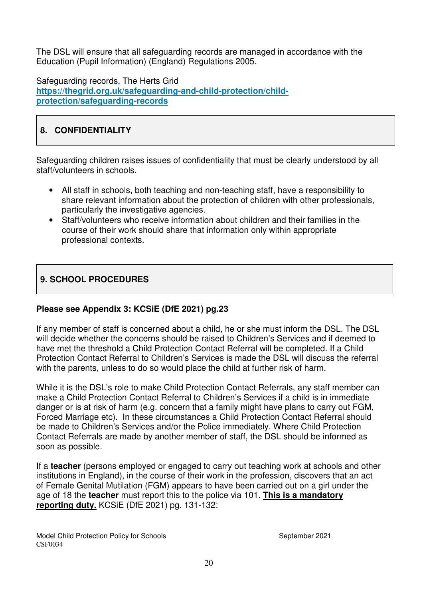The DSL will ensure that all safeguarding records are managed in accordance with the Education (Pupil Information) (England) Regulations 2005.

Safeguarding records, The Herts Grid **https://thegrid.org.uk/safeguarding-and-child-protection/childprotection/safeguarding-records**

## **8. CONFIDENTIALITY**

Safeguarding children raises issues of confidentiality that must be clearly understood by all staff/volunteers in schools.

- All staff in schools, both teaching and non-teaching staff, have a responsibility to share relevant information about the protection of children with other professionals, particularly the investigative agencies.
- Staff/volunteers who receive information about children and their families in the course of their work should share that information only within appropriate professional contexts.

## **9. SCHOOL PROCEDURES**

#### **Please see Appendix 3: KCSiE (DfE 2021) pg.23**

If any member of staff is concerned about a child, he or she must inform the DSL. The DSL will decide whether the concerns should be raised to Children's Services and if deemed to have met the threshold a Child Protection Contact Referral will be completed. If a Child Protection Contact Referral to Children's Services is made the DSL will discuss the referral with the parents, unless to do so would place the child at further risk of harm.

While it is the DSL's role to make Child Protection Contact Referrals, any staff member can make a Child Protection Contact Referral to Children's Services if a child is in immediate danger or is at risk of harm (e.g. concern that a family might have plans to carry out FGM, Forced Marriage etc). In these circumstances a Child Protection Contact Referral should be made to Children's Services and/or the Police immediately. Where Child Protection Contact Referrals are made by another member of staff, the DSL should be informed as soon as possible.

If a **teacher** (persons employed or engaged to carry out teaching work at schools and other institutions in England), in the course of their work in the profession, discovers that an act of Female Genital Mutilation (FGM) appears to have been carried out on a girl under the age of 18 the **teacher** must report this to the police via 101. **This is a mandatory reporting duty.** KCSiE (DfE 2021) pg. 131-132: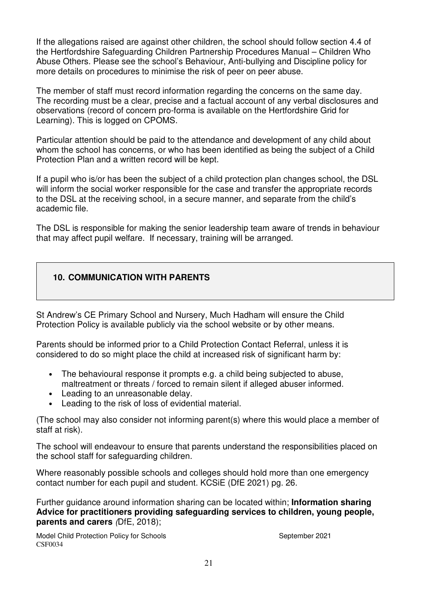If the allegations raised are against other children, the school should follow section 4.4 of the Hertfordshire Safeguarding Children Partnership Procedures Manual – Children Who Abuse Others. Please see the school's Behaviour, Anti-bullying and Discipline policy for more details on procedures to minimise the risk of peer on peer abuse.

The member of staff must record information regarding the concerns on the same day. The recording must be a clear, precise and a factual account of any verbal disclosures and observations (record of concern pro-forma is available on the Hertfordshire Grid for Learning). This is logged on CPOMS.

Particular attention should be paid to the attendance and development of any child about whom the school has concerns, or who has been identified as being the subject of a Child Protection Plan and a written record will be kept.

If a pupil who is/or has been the subject of a child protection plan changes school, the DSL will inform the social worker responsible for the case and transfer the appropriate records to the DSL at the receiving school, in a secure manner, and separate from the child's academic file.

The DSL is responsible for making the senior leadership team aware of trends in behaviour that may affect pupil welfare. If necessary, training will be arranged.

#### **10. COMMUNICATION WITH PARENTS**

St Andrew's CE Primary School and Nursery, Much Hadham will ensure the Child Protection Policy is available publicly via the school website or by other means.

Parents should be informed prior to a Child Protection Contact Referral, unless it is considered to do so might place the child at increased risk of significant harm by:

- The behavioural response it prompts e.g. a child being subjected to abuse, maltreatment or threats / forced to remain silent if alleged abuser informed.
- Leading to an unreasonable delay.
- Leading to the risk of loss of evidential material.

(The school may also consider not informing parent(s) where this would place a member of staff at risk).

The school will endeavour to ensure that parents understand the responsibilities placed on the school staff for safeguarding children.

Where reasonably possible schools and colleges should hold more than one emergency contact number for each pupil and student. KCSiE (DfE 2021) pg. 26.

Further guidance around information sharing can be located within; **Information sharing Advice for practitioners providing safeguarding services to children, young people, parents and carers** (DfE, 2018);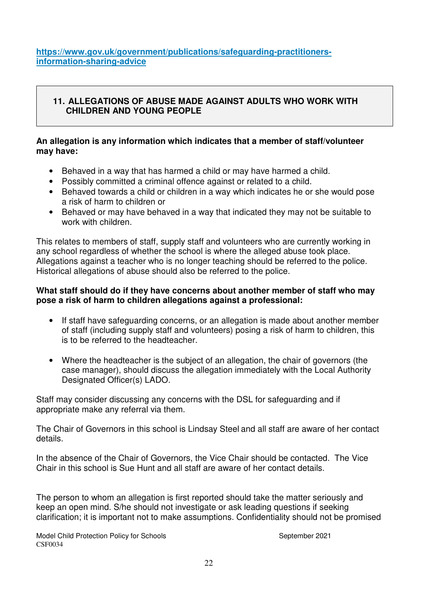**https://www.gov.uk/government/publications/safeguarding-practitionersinformation-sharing-advice**

#### **11. ALLEGATIONS OF ABUSE MADE AGAINST ADULTS WHO WORK WITH CHILDREN AND YOUNG PEOPLE**

#### **An allegation is any information which indicates that a member of staff/volunteer may have:**

- Behaved in a way that has harmed a child or may have harmed a child.
- Possibly committed a criminal offence against or related to a child.
- Behaved towards a child or children in a way which indicates he or she would pose a risk of harm to children or
- Behaved or may have behaved in a way that indicated they may not be suitable to work with children

This relates to members of staff, supply staff and volunteers who are currently working in any school regardless of whether the school is where the alleged abuse took place. Allegations against a teacher who is no longer teaching should be referred to the police. Historical allegations of abuse should also be referred to the police.

#### **What staff should do if they have concerns about another member of staff who may pose a risk of harm to children allegations against a professional:**

- If staff have safeguarding concerns, or an allegation is made about another member of staff (including supply staff and volunteers) posing a risk of harm to children, this is to be referred to the headteacher.
- Where the headteacher is the subject of an allegation, the chair of governors (the case manager), should discuss the allegation immediately with the Local Authority Designated Officer(s) LADO.

Staff may consider discussing any concerns with the DSL for safeguarding and if appropriate make any referral via them.

The Chair of Governors in this school is Lindsay Steel and all staff are aware of her contact details.

In the absence of the Chair of Governors, the Vice Chair should be contacted. The Vice Chair in this school is Sue Hunt and all staff are aware of her contact details.

The person to whom an allegation is first reported should take the matter seriously and keep an open mind. S/he should not investigate or ask leading questions if seeking clarification; it is important not to make assumptions. Confidentiality should not be promised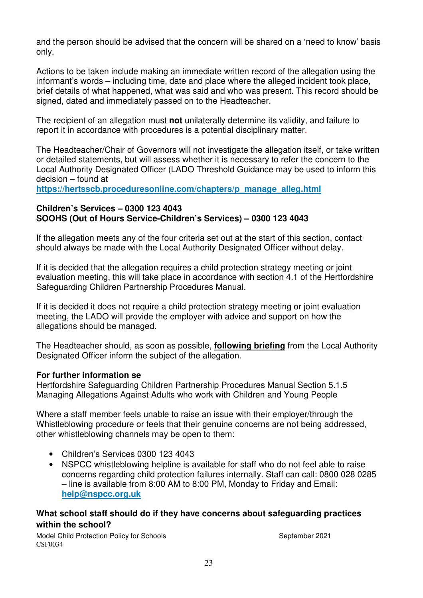and the person should be advised that the concern will be shared on a 'need to know' basis only.

Actions to be taken include making an immediate written record of the allegation using the informant's words – including time, date and place where the alleged incident took place, brief details of what happened, what was said and who was present. This record should be signed, dated and immediately passed on to the Headteacher.

The recipient of an allegation must **not** unilaterally determine its validity, and failure to report it in accordance with procedures is a potential disciplinary matter.

The Headteacher/Chair of Governors will not investigate the allegation itself, or take written or detailed statements, but will assess whether it is necessary to refer the concern to the Local Authority Designated Officer (LADO Threshold Guidance may be used to inform this decision – found at

**https://hertsscb.proceduresonline.com/chapters/p\_manage\_alleg.html**

#### **Children's Services – 0300 123 4043 SOOHS (Out of Hours Service-Children's Services) – 0300 123 4043**

If the allegation meets any of the four criteria set out at the start of this section, contact should always be made with the Local Authority Designated Officer without delay.

If it is decided that the allegation requires a child protection strategy meeting or joint evaluation meeting, this will take place in accordance with section 4.1 of the Hertfordshire Safeguarding Children Partnership Procedures Manual.

If it is decided it does not require a child protection strategy meeting or joint evaluation meeting, the LADO will provide the employer with advice and support on how the allegations should be managed.

The Headteacher should, as soon as possible, **following briefing** from the Local Authority Designated Officer inform the subject of the allegation.

#### **For further information se**

Hertfordshire Safeguarding Children Partnership Procedures Manual Section 5.1.5 Managing Allegations Against Adults who work with Children and Young People

Where a staff member feels unable to raise an issue with their employer/through the Whistleblowing procedure or feels that their genuine concerns are not being addressed, other whistleblowing channels may be open to them:

- Children's Services 0300 123 4043
- NSPCC whistleblowing helpline is available for staff who do not feel able to raise concerns regarding child protection failures internally. Staff can call: 0800 028 0285 – line is available from 8:00 AM to 8:00 PM, Monday to Friday and Email: **help@nspcc.org.uk**

#### **What school staff should do if they have concerns about safeguarding practices within the school?**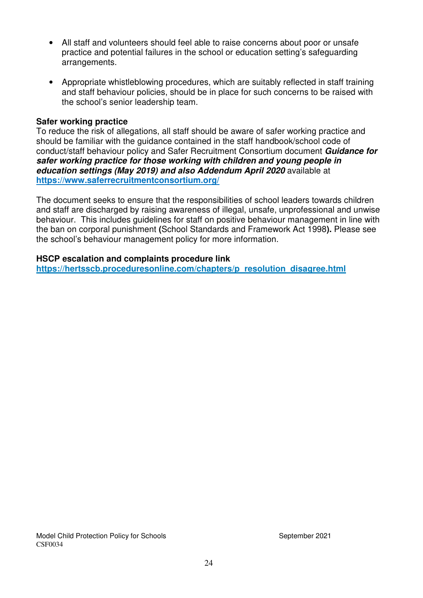- All staff and volunteers should feel able to raise concerns about poor or unsafe practice and potential failures in the school or education setting's safeguarding arrangements.
- Appropriate whistleblowing procedures, which are suitably reflected in staff training and staff behaviour policies, should be in place for such concerns to be raised with the school's senior leadership team.

#### **Safer working practice**

To reduce the risk of allegations, all staff should be aware of safer working practice and should be familiar with the guidance contained in the staff handbook/school code of conduct/staff behaviour policy and Safer Recruitment Consortium document *Guidance for safer working practice for those working with children and young people in education settings (May 2019) and also Addendum April 2020* available at **https://www.saferrecruitmentconsortium.org/** 

The document seeks to ensure that the responsibilities of school leaders towards children and staff are discharged by raising awareness of illegal, unsafe, unprofessional and unwise behaviour. This includes guidelines for staff on positive behaviour management in line with the ban on corporal punishment **(**School Standards and Framework Act 1998**).** Please see the school's behaviour management policy for more information.

#### **HSCP escalation and complaints procedure link**

**https://hertsscb.proceduresonline.com/chapters/p\_resolution\_disagree.html**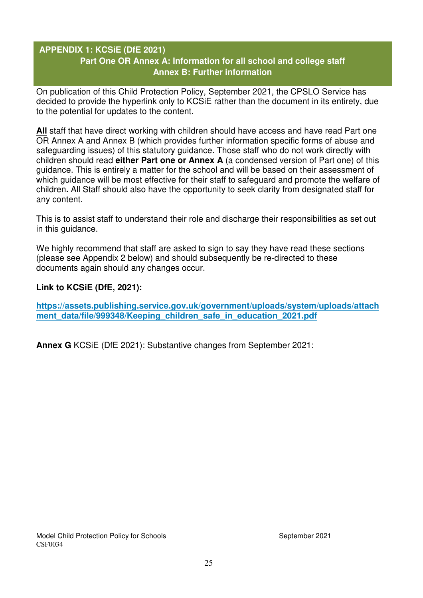### **APPENDIX 1: KCSiE (DfE 2021) Part One OR Annex A: Information for all school and college staff Annex B: Further information**

On publication of this Child Protection Policy, September 2021, the CPSLO Service has decided to provide the hyperlink only to KCSiE rather than the document in its entirety, due to the potential for updates to the content.

**All** staff that have direct working with children should have access and have read Part one OR Annex A and Annex B (which provides further information specific forms of abuse and safeguarding issues) of this statutory guidance. Those staff who do not work directly with children should read **either Part one or Annex A** (a condensed version of Part one) of this guidance. This is entirely a matter for the school and will be based on their assessment of which guidance will be most effective for their staff to safeguard and promote the welfare of children**.** All Staff should also have the opportunity to seek clarity from designated staff for any content.

This is to assist staff to understand their role and discharge their responsibilities as set out in this guidance.

We highly recommend that staff are asked to sign to say they have read these sections (please see Appendix 2 below) and should subsequently be re-directed to these documents again should any changes occur.

#### **Link to KCSiE (DfE, 2021):**

**https://assets.publishing.service.gov.uk/government/uploads/system/uploads/attach** ment data/file/999348/Keeping children safe in education 2021.pdf

**Annex G** KCSiE (DfE 2021): Substantive changes from September 2021: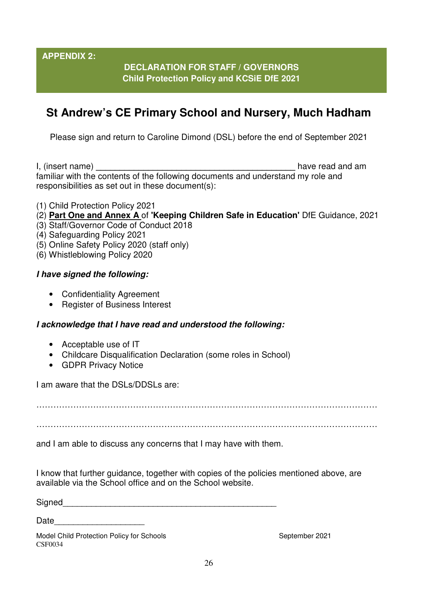**APPENDIX 2:** 

## **DECLARATION FOR STAFF / GOVERNORS Child Protection Policy and KCSiE DfE 2021**

# **St Andrew's CE Primary School and Nursery, Much Hadham**

Please sign and return to Caroline Dimond (DSL) before the end of September 2021

I, (insert name) **I**, (insert name) familiar with the contents of the following documents and understand my role and responsibilities as set out in these document(s):

- (1) Child Protection Policy 2021
- (2) **Part One and Annex A** of **'Keeping Children Safe in Education'** DfE Guidance, 2021
- (3) Staff/Governor Code of Conduct 2018
- (4) Safeguarding Policy 2021
- (5) Online Safety Policy 2020 (staff only)
- (6) Whistleblowing Policy 2020

#### *I have signed the following:*

- Confidentiality Agreement
- Register of Business Interest

#### *I acknowledge that I have read and understood the following:*

- Acceptable use of IT
- Childcare Disqualification Declaration (some roles in School)
- GDPR Privacy Notice

I am aware that the DSLs/DDSLs are:

…………………………………………………………………………………………………………

…………………………………………………………………………………………………………

and I am able to discuss any concerns that I may have with them.

I know that further guidance, together with copies of the policies mentioned above, are available via the School office and on the School website.

Signed

Date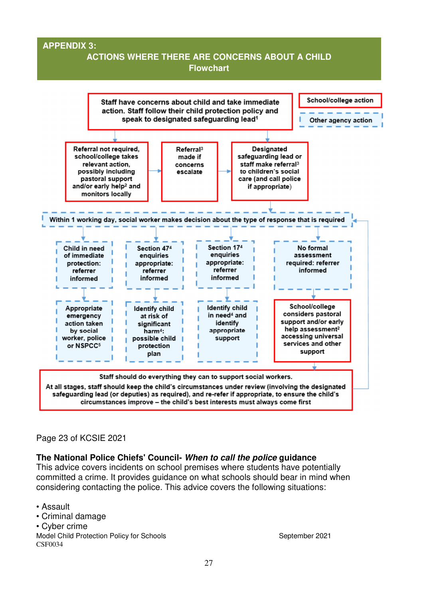#### **APPENDIX 3:**

## **ACTIONS WHERE THERE ARE CONCERNS ABOUT A CHILD Flowchart**



#### Page 23 of KCSIE 2021

#### **The National Police Chiefs' Council-** *When to call the police* **guidance**

This advice covers incidents on school premises where students have potentially committed a crime. It provides guidance on what schools should bear in mind when considering contacting the police. This advice covers the following situations:

• Assault

- Criminal damage
- Cyber crime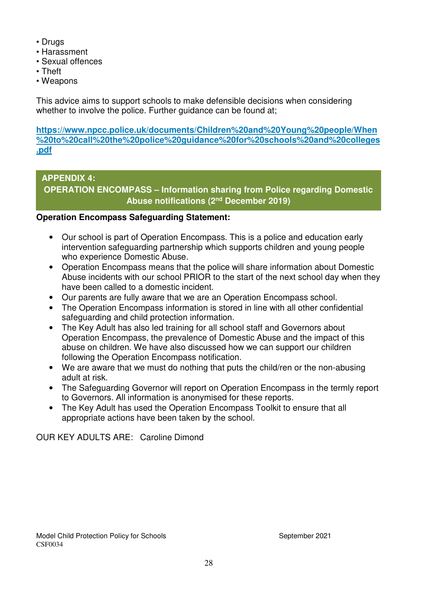- Drugs
- Harassment
- Sexual offences
- Theft
- Weapons

This advice aims to support schools to make defensible decisions when considering whether to involve the police. Further guidance can be found at;

**https://www.npcc.police.uk/documents/Children%20and%20Young%20people/When %20to%20call%20the%20police%20guidance%20for%20schools%20and%20colleges .pdf**

## **APPENDIX 4: OPERATION ENCOMPASS – Information sharing from Police regarding Domestic Abuse notifications (2nd December 2019)**

## **Operation Encompass Safeguarding Statement:**

- Our school is part of Operation Encompass. This is a police and education early intervention safeguarding partnership which supports children and young people who experience Domestic Abuse.
- Operation Encompass means that the police will share information about Domestic Abuse incidents with our school PRIOR to the start of the next school day when they have been called to a domestic incident.
- Our parents are fully aware that we are an Operation Encompass school.
- The Operation Encompass information is stored in line with all other confidential safeguarding and child protection information.
- The Key Adult has also led training for all school staff and Governors about Operation Encompass, the prevalence of Domestic Abuse and the impact of this abuse on children. We have also discussed how we can support our children following the Operation Encompass notification.
- We are aware that we must do nothing that puts the child/ren or the non-abusing adult at risk.
- The Safeguarding Governor will report on Operation Encompass in the termly report to Governors. All information is anonymised for these reports.
- The Key Adult has used the Operation Encompass Toolkit to ensure that all appropriate actions have been taken by the school.

OUR KEY ADULTS ARE: Caroline Dimond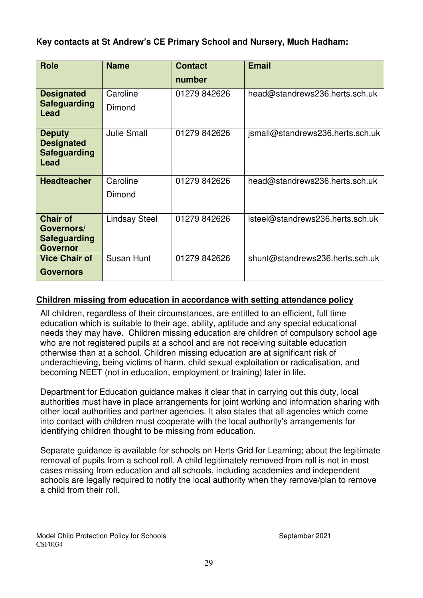### **Key contacts at St Andrew's CE Primary School and Nursery, Much Hadham:**

| <b>Role</b>                                                       | <b>Name</b>          | <b>Contact</b> | <b>Email</b>                     |
|-------------------------------------------------------------------|----------------------|----------------|----------------------------------|
|                                                                   |                      | number         |                                  |
| <b>Designated</b>                                                 | Caroline             | 01279 842626   | head@standrews236.herts.sch.uk   |
| <b>Safeguarding</b><br>Lead                                       | Dimond               |                |                                  |
| <b>Deputy</b><br><b>Designated</b><br><b>Safeguarding</b><br>Lead | <b>Julie Small</b>   | 01279 842626   | jsmall@standrews236.herts.sch.uk |
| <b>Headteacher</b>                                                | Caroline             | 01279 842626   | head@standrews236.herts.sch.uk   |
|                                                                   | Dimond               |                |                                  |
| <b>Chair of</b>                                                   | <b>Lindsay Steel</b> | 01279 842626   | Isteel@standrews236.herts.sch.uk |
| Governors/<br><b>Safeguarding</b>                                 |                      |                |                                  |
| <b>Governor</b>                                                   |                      |                |                                  |
| <b>Vice Chair of</b>                                              | Susan Hunt           | 01279 842626   | shunt@standrews236.herts.sch.uk  |
| <b>Governors</b>                                                  |                      |                |                                  |

#### **Children missing from education in accordance with setting attendance policy**

All children, regardless of their circumstances, are entitled to an efficient, full time education which is suitable to their age, ability, aptitude and any special educational needs they may have. Children missing education are children of compulsory school age who are not registered pupils at a school and are not receiving suitable education otherwise than at a school. Children missing education are at significant risk of underachieving, being victims of harm, child sexual exploitation or radicalisation, and becoming NEET (not in education, employment or training) later in life.

Department for Education guidance makes it clear that in carrying out this duty, local authorities must have in place arrangements for joint working and information sharing with other local authorities and partner agencies. It also states that all agencies which come into contact with children must cooperate with the local authority's arrangements for identifying children thought to be missing from education.

Separate guidance is available for schools on Herts Grid for Learning; about the legitimate removal of pupils from a school roll. A child legitimately removed from roll is not in most cases missing from education and all schools, including academies and independent schools are legally required to notify the local authority when they remove/plan to remove a child from their roll.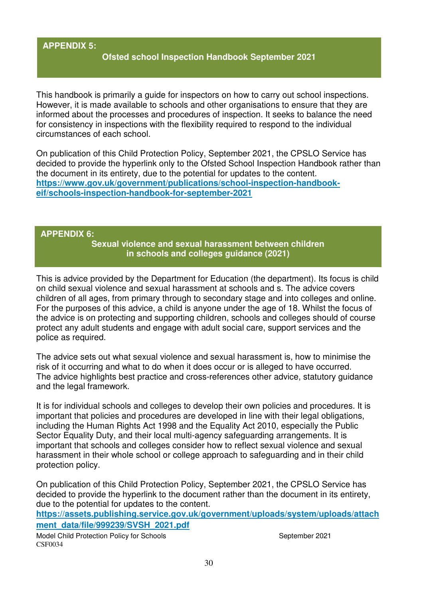#### **APPENDIX 5:**

#### **Ofsted school Inspection Handbook September 2021**

This handbook is primarily a guide for inspectors on how to carry out school inspections. However, it is made available to schools and other organisations to ensure that they are informed about the processes and procedures of inspection. It seeks to balance the need for consistency in inspections with the flexibility required to respond to the individual circumstances of each school.

On publication of this Child Protection Policy, September 2021, the CPSLO Service has decided to provide the hyperlink only to the Ofsted School Inspection Handbook rather than the document in its entirety, due to the potential for updates to the content. **https://www.gov.uk/government/publications/school-inspection-handbookeif/schools-inspection-handbook-for-september-2021** 

#### **APPENDIX 6:**

**Sexual violence and sexual harassment between children in schools and colleges guidance (2021)**

This is advice provided by the Department for Education (the department). Its focus is child on child sexual violence and sexual harassment at schools and s. The advice covers children of all ages, from primary through to secondary stage and into colleges and online. For the purposes of this advice, a child is anyone under the age of 18. Whilst the focus of the advice is on protecting and supporting children, schools and colleges should of course protect any adult students and engage with adult social care, support services and the police as required.

The advice sets out what sexual violence and sexual harassment is, how to minimise the risk of it occurring and what to do when it does occur or is alleged to have occurred. The advice highlights best practice and cross-references other advice, statutory guidance and the legal framework.

It is for individual schools and colleges to develop their own policies and procedures. It is important that policies and procedures are developed in line with their legal obligations, including the Human Rights Act 1998 and the Equality Act 2010, especially the Public Sector Equality Duty, and their local multi-agency safeguarding arrangements. It is important that schools and colleges consider how to reflect sexual violence and sexual harassment in their whole school or college approach to safeguarding and in their child protection policy.

On publication of this Child Protection Policy, September 2021, the CPSLO Service has decided to provide the hyperlink to the document rather than the document in its entirety, due to the potential for updates to the content.

**https://assets.publishing.service.gov.uk/government/uploads/system/uploads/attach ment\_data/file/999239/SVSH\_2021.pdf**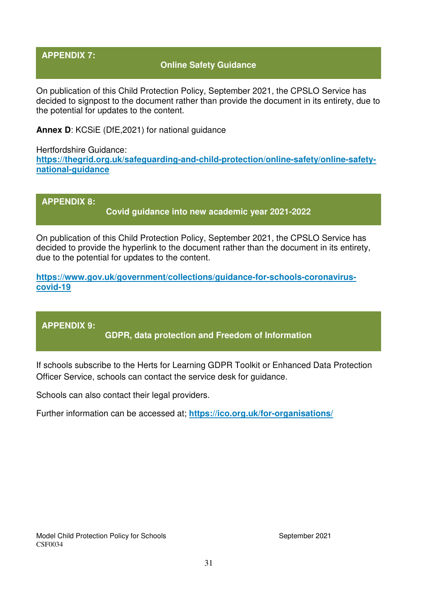#### **APPENDIX 7:**

#### **Online Safety Guidance**

On publication of this Child Protection Policy, September 2021, the CPSLO Service has decided to signpost to the document rather than provide the document in its entirety, due to the potential for updates to the content.

**Annex D**: KCSiE (DfE,2021) for national guidance

Hertfordshire Guidance: **https://thegrid.org.uk/safeguarding-and-child-protection/online-safety/online-safetynational-guidance**

**APPENDIX 8: Covid guidance into new academic year 2021-2022** 

On publication of this Child Protection Policy, September 2021, the CPSLO Service has decided to provide the hyperlink to the document rather than the document in its entirety, due to the potential for updates to the content.

**https://www.gov.uk/government/collections/guidance-for-schools-coronaviruscovid-19**

**APPENDIX 9:** 

**GDPR, data protection and Freedom of Information** 

If schools subscribe to the Herts for Learning GDPR Toolkit or Enhanced Data Protection Officer Service, schools can contact the service desk for guidance.

Schools can also contact their legal providers.

Further information can be accessed at; **https://ico.org.uk/for-organisations/**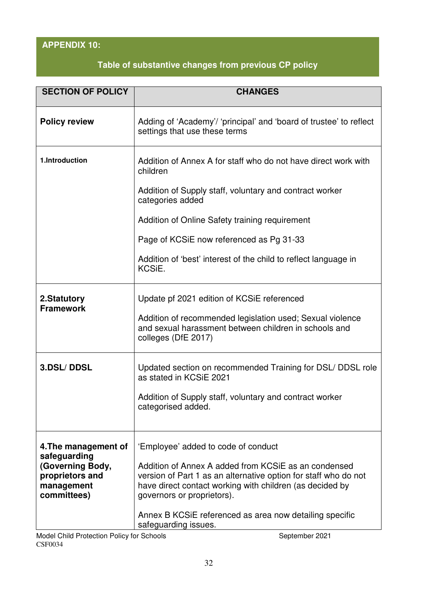# **APPENDIX 10:**

# **Table of substantive changes from previous CP policy**

| <b>SECTION OF POLICY</b>                                         | <b>CHANGES</b>                                                                                                                                                                                                    |
|------------------------------------------------------------------|-------------------------------------------------------------------------------------------------------------------------------------------------------------------------------------------------------------------|
| <b>Policy review</b>                                             | Adding of 'Academy'/ 'principal' and 'board of trustee' to reflect<br>settings that use these terms                                                                                                               |
| 1.Introduction                                                   | Addition of Annex A for staff who do not have direct work with<br>children                                                                                                                                        |
|                                                                  | Addition of Supply staff, voluntary and contract worker<br>categories added                                                                                                                                       |
|                                                                  | Addition of Online Safety training requirement                                                                                                                                                                    |
|                                                                  | Page of KCSiE now referenced as Pg 31-33                                                                                                                                                                          |
|                                                                  | Addition of 'best' interest of the child to reflect language in<br>KCSiE.                                                                                                                                         |
| 2.Statutory<br><b>Framework</b>                                  | Update pf 2021 edition of KCSiE referenced                                                                                                                                                                        |
|                                                                  | Addition of recommended legislation used; Sexual violence<br>and sexual harassment between children in schools and<br>colleges (DfE 2017)                                                                         |
| <b>3.DSL/DDSL</b>                                                | Updated section on recommended Training for DSL/ DDSL role<br>as stated in KCSiE 2021                                                                                                                             |
|                                                                  | Addition of Supply staff, voluntary and contract worker<br>categorised added.                                                                                                                                     |
|                                                                  |                                                                                                                                                                                                                   |
| 4. The management of<br>safeguarding                             | 'Employee' added to code of conduct                                                                                                                                                                               |
| (Governing Body,<br>proprietors and<br>management<br>committees) | Addition of Annex A added from KCSiE as an condensed<br>version of Part 1 as an alternative option for staff who do not<br>have direct contact working with children (as decided by<br>governors or proprietors). |
|                                                                  | Annex B KCSIE referenced as area now detailing specific<br>safeguarding issues.                                                                                                                                   |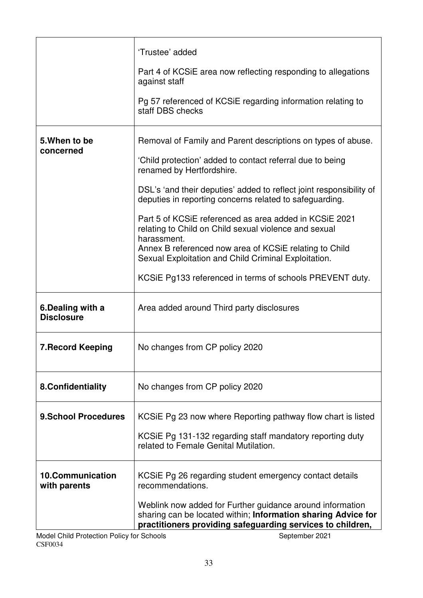|                                         | 'Trustee' added                                                                                                                                                                                           |
|-----------------------------------------|-----------------------------------------------------------------------------------------------------------------------------------------------------------------------------------------------------------|
|                                         | Part 4 of KCSIE area now reflecting responding to allegations<br>against staff                                                                                                                            |
|                                         | Pg 57 referenced of KCSIE regarding information relating to<br>staff DBS checks                                                                                                                           |
| 5. When to be<br>concerned              | Removal of Family and Parent descriptions on types of abuse.                                                                                                                                              |
|                                         | 'Child protection' added to contact referral due to being<br>renamed by Hertfordshire.                                                                                                                    |
|                                         | DSL's 'and their deputies' added to reflect joint responsibility of<br>deputies in reporting concerns related to safeguarding.                                                                            |
|                                         | Part 5 of KCSIE referenced as area added in KCSIE 2021<br>relating to Child on Child sexual violence and sexual<br>harassment.                                                                            |
|                                         | Annex B referenced now area of KCSiE relating to Child<br>Sexual Exploitation and Child Criminal Exploitation.                                                                                            |
|                                         | KCSIE Pg133 referenced in terms of schools PREVENT duty.                                                                                                                                                  |
| 6.Dealing with a<br><b>Disclosure</b>   | Area added around Third party disclosures                                                                                                                                                                 |
| <b>7. Record Keeping</b>                | No changes from CP policy 2020                                                                                                                                                                            |
| 8.Confidentiality                       | No changes from CP policy 2020                                                                                                                                                                            |
| <b>9.School Procedures</b>              | KCSIE Pg 23 now where Reporting pathway flow chart is listed                                                                                                                                              |
|                                         | KCSIE Pg 131-132 regarding staff mandatory reporting duty<br>related to Female Genital Mutilation.                                                                                                        |
| <b>10.Communication</b><br>with parents | KCSIE Pg 26 regarding student emergency contact details<br>recommendations.                                                                                                                               |
| ilan Deliau fau Cabaala                 | Weblink now added for Further guidance around information<br>sharing can be located within; Information sharing Advice for<br>practitioners providing safeguarding services to children,<br>$\frac{1}{2}$ |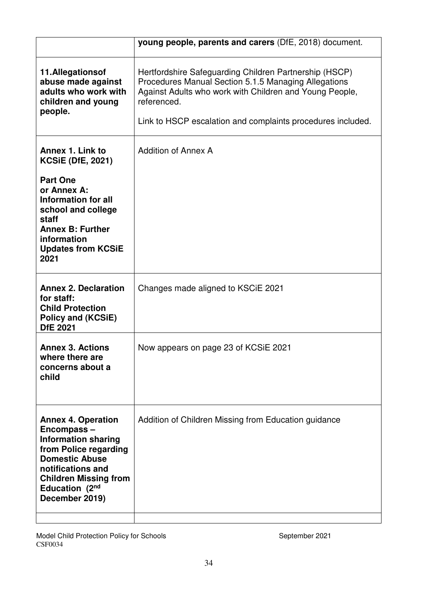|                                                                                                                                                                                                                  | young people, parents and carers (DfE, 2018) document.                                                                                                                                                                                                  |
|------------------------------------------------------------------------------------------------------------------------------------------------------------------------------------------------------------------|---------------------------------------------------------------------------------------------------------------------------------------------------------------------------------------------------------------------------------------------------------|
| 11.Allegationsof<br>abuse made against<br>adults who work with<br>children and young<br>people.                                                                                                                  | Hertfordshire Safeguarding Children Partnership (HSCP)<br>Procedures Manual Section 5.1.5 Managing Allegations<br>Against Adults who work with Children and Young People,<br>referenced.<br>Link to HSCP escalation and complaints procedures included. |
| Annex 1. Link to<br><b>KCSiE (DfE, 2021)</b>                                                                                                                                                                     | <b>Addition of Annex A</b>                                                                                                                                                                                                                              |
| <b>Part One</b><br>or Annex A:<br><b>Information for all</b><br>school and college<br>staff<br><b>Annex B: Further</b><br>information<br><b>Updates from KCSiE</b><br>2021                                       |                                                                                                                                                                                                                                                         |
| <b>Annex 2. Declaration</b><br>for staff:<br><b>Child Protection</b><br>Policy and (KCSiE)<br><b>DfE 2021</b>                                                                                                    | Changes made aligned to KSCIE 2021                                                                                                                                                                                                                      |
| <b>Annex 3. Actions</b><br>where there are<br>concerns about a<br>child                                                                                                                                          | Now appears on page 23 of KCSiE 2021                                                                                                                                                                                                                    |
| <b>Annex 4. Operation</b><br>Encompass-<br><b>Information sharing</b><br>from Police regarding<br><b>Domestic Abuse</b><br>notifications and<br><b>Children Missing from</b><br>Education (2nd<br>December 2019) | Addition of Children Missing from Education guidance                                                                                                                                                                                                    |

Model Child Protection Policy for Schools **September 2021** September 2021 CSF0034